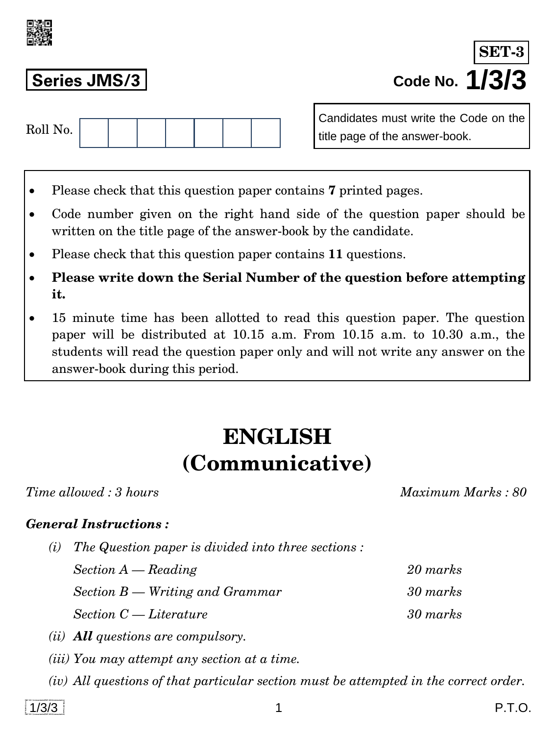

**Series JMS/3 Code No. 1/3/3 SET-3**

| Roll No. |  |  |  |  |  |  |  |
|----------|--|--|--|--|--|--|--|
|----------|--|--|--|--|--|--|--|

Candidates must write the Code on the title page of the answer-book.

- Please check that this question paper contains **7** printed pages.
- Code number given on the right hand side of the question paper should be written on the title page of the answer-book by the candidate.
- Please check that this question paper contains **11** questions.
- **Please write down the Serial Number of the question before attempting it.**
- 15 minute time has been allotted to read this question paper. The question paper will be distributed at 10.15 a.m. From 10.15 a.m. to 10.30 a.m., the students will read the question paper only and will not write any answer on the answer-book during this period.

# **ENGLISH (Communicative)**

*Time allowed : 3 hours Maximum Marks : 80*

# *General Instructions :*

*(i) The Question paper is divided into three sections :* 

*Section A — Reading 20 marks Section B — Writing and Grammar 30 marks Section C — Literature 30 marks* 

- *(ii) All questions are compulsory.*
- *(iii) You may attempt any section at a time.*
- *(iv) All questions of that particular section must be attempted in the correct order.*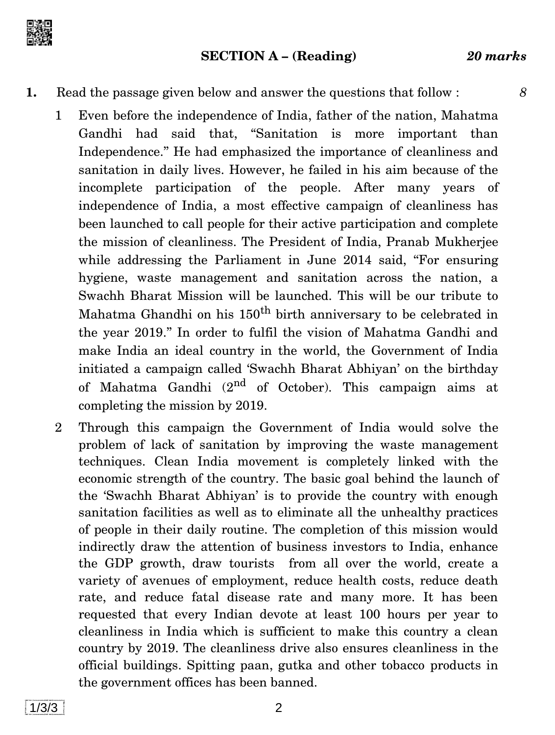

#### **SECTION A – (Reading)** *20 marks*

### **1.** Read the passage given below and answer the questions that follow : *8*

- 1 Even before the independence of India, father of the nation, Mahatma Gandhi had said that, ''Sanitation is more important than Independence.'' He had emphasized the importance of cleanliness and sanitation in daily lives. However, he failed in his aim because of the incomplete participation of the people. After many years of independence of India, a most effective campaign of cleanliness has been launched to call people for their active participation and complete the mission of cleanliness. The President of India, Pranab Mukherjee while addressing the Parliament in June 2014 said, "For ensuring" hygiene, waste management and sanitation across the nation, a Swachh Bharat Mission will be launched. This will be our tribute to Mahatma Ghandhi on his  $150<sup>th</sup>$  birth anniversary to be celebrated in the year 2019.'' In order to fulfil the vision of Mahatma Gandhi and make India an ideal country in the world, the Government of India initiated a campaign called 'Swachh Bharat Abhiyan' on the birthday of Mahatma Gandhi  $(2^{nd}$  of October). This campaign aims at completing the mission by 2019.
- 2 Through this campaign the Government of India would solve the problem of lack of sanitation by improving the waste management techniques. Clean India movement is completely linked with the economic strength of the country. The basic goal behind the launch of the 'Swachh Bharat Abhiyan' is to provide the country with enough sanitation facilities as well as to eliminate all the unhealthy practices of people in their daily routine. The completion of this mission would indirectly draw the attention of business investors to India, enhance the GDP growth, draw tourists from all over the world, create a variety of avenues of employment, reduce health costs, reduce death rate, and reduce fatal disease rate and many more. It has been requested that every Indian devote at least 100 hours per year to cleanliness in India which is sufficient to make this country a clean country by 2019. The cleanliness drive also ensures cleanliness in the official buildings. Spitting paan, gutka and other tobacco products in the government offices has been banned.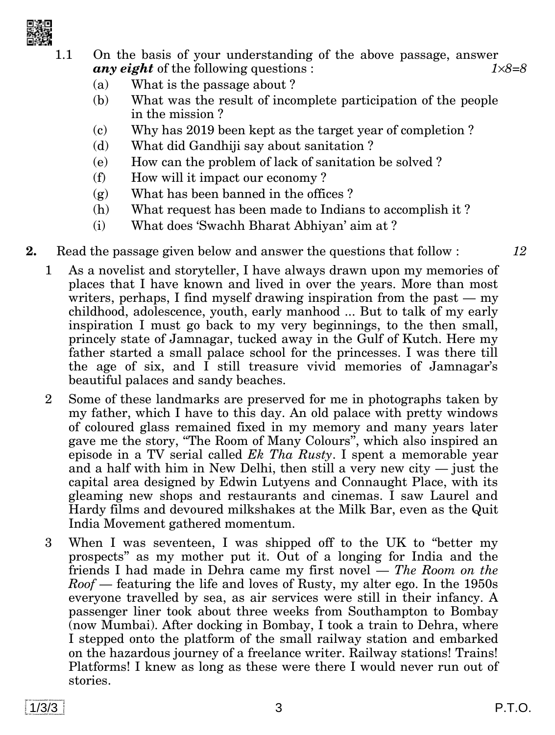

1.1 On the basis of your understanding of the above passage, answer *any eight* of the following questions : *18=8*

- (a) What is the passage about ?
- (b) What was the result of incomplete participation of the people in the mission ?
- (c) Why has 2019 been kept as the target year of completion ?
- (d) What did Gandhiji say about sanitation ?
- (e) How can the problem of lack of sanitation be solved ?
- (f) How will it impact our economy ?
- (g) What has been banned in the offices ?
- (h) What request has been made to Indians to accomplish it ?
- (i) What does 'Swachh Bharat Abhiyan' aim at ?
- **2.** Read the passage given below and answer the questions that follow : *12*
	- 1 As a novelist and storyteller, I have always drawn upon my memories of places that I have known and lived in over the years. More than most writers, perhaps, I find myself drawing inspiration from the past — my childhood, adolescence, youth, early manhood ... But to talk of my early inspiration I must go back to my very beginnings, to the then small, princely state of Jamnagar, tucked away in the Gulf of Kutch. Here my father started a small palace school for the princesses. I was there till the age of six, and I still treasure vivid memories of Jamnagar's beautiful palaces and sandy beaches.
	- 2 Some of these landmarks are preserved for me in photographs taken by my father, which I have to this day. An old palace with pretty windows of coloured glass remained fixed in my memory and many years later gave me the story, ''The Room of Many Colours'', which also inspired an episode in a TV serial called *Ek Tha Rusty*. I spent a memorable year and a half with him in New Delhi, then still a very new city — just the capital area designed by Edwin Lutyens and Connaught Place, with its gleaming new shops and restaurants and cinemas. I saw Laurel and Hardy films and devoured milkshakes at the Milk Bar, even as the Quit India Movement gathered momentum.
	- 3 When I was seventeen, I was shipped off to the UK to ''better my prospects'' as my mother put it. Out of a longing for India and the friends I had made in Dehra came my first novel — *The Room on the Roof* — featuring the life and loves of Rusty, my alter ego. In the 1950s everyone travelled by sea, as air services were still in their infancy. A passenger liner took about three weeks from Southampton to Bombay (now Mumbai). After docking in Bombay, I took a train to Dehra, where I stepped onto the platform of the small railway station and embarked on the hazardous journey of a freelance writer. Railway stations! Trains! Platforms! I knew as long as these were there I would never run out of stories.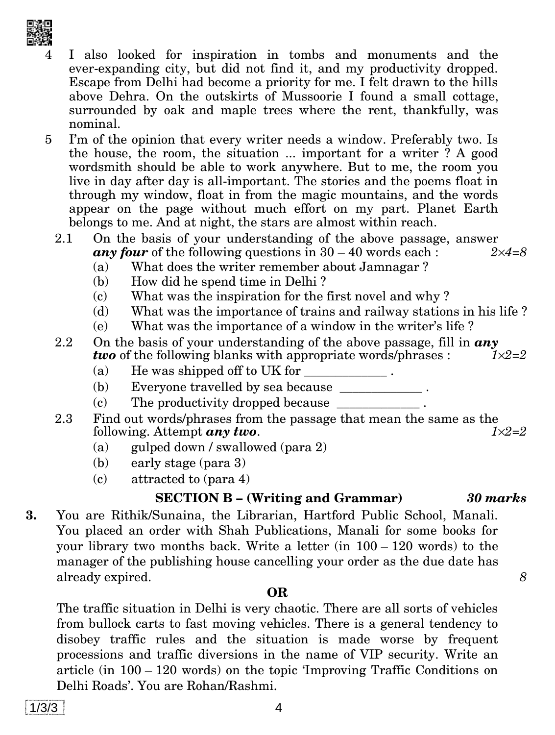- the house, the room, the situation ... important for a writer ? A good wordsmith should be able to work anywhere. But to me, the room you live in day after day is all-important. The stories and the poems float in through my window, float in from the magic mountains, and the words appear on the page without much effort on my part. Planet Earth belongs to me. And at night, the stars are almost within reach.
- 2.1 On the basis of your understanding of the above passage, answer *any four* of the following questions in  $30 - 40$  words each :  $2 \times 4 = 8$

I also looked for inspiration in tombs and monuments and the ever-expanding city, but did not find it, and my productivity dropped. Escape from Delhi had become a priority for me. I felt drawn to the hills above Dehra. On the outskirts of Mussoorie I found a small cottage, surrounded by oak and maple trees where the rent, thankfully, was

5 I'm of the opinion that every writer needs a window. Preferably two. Is

- (a) What does the writer remember about Jamnagar ?
- (b) How did he spend time in Delhi ?
- (c) What was the inspiration for the first novel and why ?
- (d) What was the importance of trains and railway stations in his life ?
- (e) What was the importance of a window in the writer's life ?
- 2.2 On the basis of your understanding of the above passage, fill in  $\boldsymbol{any}$ <br>two of the following blanks with appropriate words/phrases:  $\boldsymbol{y} = 2$ *two* of the following blanks with appropriate words/phrases :
	- (a) He was shipped off to UK for  $\overline{\phantom{a}}$ .
	- (b) Everyone travelled by sea because \_\_\_\_\_\_\_\_\_\_\_\_\_\_\_\_.
	- $(c)$  The productivity dropped because
- 2.3 Find out words/phrases from the passage that mean the same as the following. Attempt  $an \theta$  two. following. Attempt *any two*.
	- (a) gulped down / swallowed (para 2)
	- (b) early stage (para 3)
	- (c) attracted to (para 4)

#### **SECTION B – (Writing and Grammar)** *30 marks*

**3.** You are Rithik/Sunaina, the Librarian, Hartford Public School, Manali. You placed an order with Shah Publications, Manali for some books for your library two months back. Write a letter (in 100 – 120 words) to the manager of the publishing house cancelling your order as the due date has already expired. *8*

#### **OR**

The traffic situation in Delhi is very chaotic. There are all sorts of vehicles from bullock carts to fast moving vehicles. There is a general tendency to disobey traffic rules and the situation is made worse by frequent processions and traffic diversions in the name of VIP security. Write an article (in 100 – 120 words) on the topic 'Improving Traffic Conditions on Delhi Roads'. You are Rohan/Rashmi.

nominal.

- 
-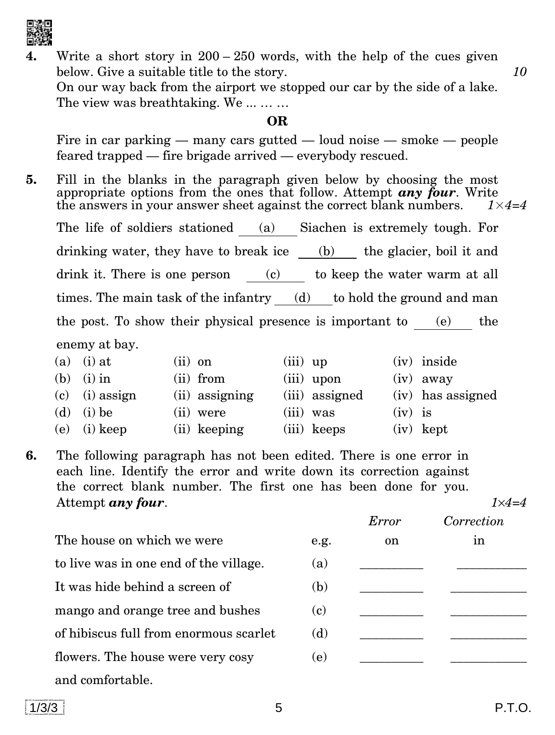

Write a short story in  $200 - 250$  words, with the help of the cues given below. Give a suitable title to the story. *10*

On our way back from the airport we stopped our car by the side of a lake. The view was breathtaking. We ... ... ...

#### **OR**

Fire in car parking — many cars gutted — loud noise — smoke — people feared trapped — fire brigade arrived — everybody rescued.

**5.** Fill in the blanks in the paragraph given below by choosing the most appropriate options from the ones that follow. Attempt *any four*. Write the answers in your answer sheet against the correct blank numbers.  $1 \times 4=4$ The life of soldiers stationed (a) Siachen is extremely tough. For drinking water, they have to break ice (b) the glacier, boil it and drink it. There is one person (c) to keep the water warm at all times. The main task of the infantry (d) to hold the ground and man the post. To show their physical presence is important to (e) the enemy at bay.

|     | (a) (i) at       | $(ii)$ on      | $(iii)$ up     | (iv) inside       |
|-----|------------------|----------------|----------------|-------------------|
|     | (b) (i) in       | (ii) from      | $(iii)$ upon   | $(iv)$ away       |
|     | $(c)$ (i) assign | (ii) assigning | (iii) assigned | (iv) has assigned |
|     | (d) (i) be       | (ii) were      | $(iii)$ was    | $(iv)$ is         |
| (e) | $(i)$ keep       | (ii) keeping   | (iii) keeps    | $(iv)$ kept       |

**6.** The following paragraph has not been edited. There is one error in each line. Identify the error and write down its correction against the correct blank number. The first one has been done for you. Attempt *any four*. *14=4*

|                                        |                            | Error | Correction |
|----------------------------------------|----------------------------|-------|------------|
| The house on which we were             | e.g.                       | on    | 1n         |
| to live was in one end of the village. | (a)                        |       |            |
| It was hide behind a screen of         | (b)                        |       |            |
| mango and orange tree and bushes       | $\left( \mathbf{c}\right)$ |       |            |
| of hibiscus full from enormous scarlet | (d)                        |       |            |
| flowers. The house were very cosy      | (e)                        |       |            |
| and comfortable.                       |                            |       |            |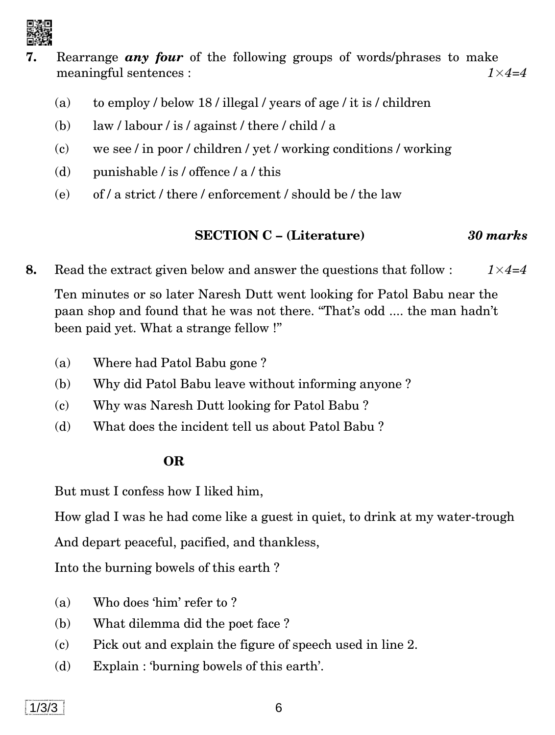

- **7.** Rearrange *any four* of the following groups of words/phrases to make meaningful sentences : *1*×*4=4*
	- (a) to employ / below 18 / illegal / years of age / it is / children
	- (b) law / labour / is / against / there / child / a
	- (c) we see / in poor / children / yet / working conditions / working
	- (d) punishable / is / offence /  $a$  / this
	- (e) of / a strict / there / enforcement / should be / the law

# **SECTION C – (Literature)** *30 marks*

**8.** Read the extract given below and answer the questions that follow : *1*×*4=4*

Ten minutes or so later Naresh Dutt went looking for Patol Babu near the paan shop and found that he was not there. ''That's odd .... the man hadn't been paid yet. What a strange fellow !''

- (a) Where had Patol Babu gone ?
- (b) Why did Patol Babu leave without informing anyone ?
- (c) Why was Naresh Dutt looking for Patol Babu ?
- (d) What does the incident tell us about Patol Babu ?

# **OR**

But must I confess how I liked him,

How glad I was he had come like a guest in quiet, to drink at my water-trough

And depart peaceful, pacified, and thankless,

Into the burning bowels of this earth ?

- (a) Who does 'him' refer to ?
- (b) What dilemma did the poet face ?
- (c) Pick out and explain the figure of speech used in line 2.
- (d) Explain : 'burning bowels of this earth'.